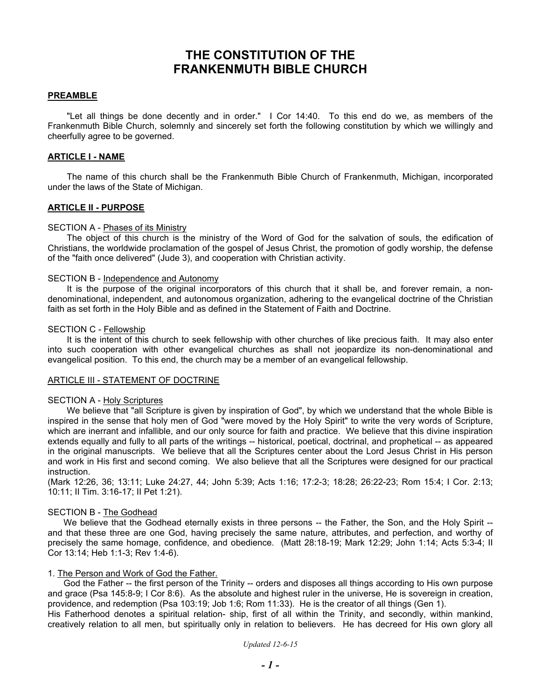# **THE CONSTITUTION OF THE FRANKENMUTH BIBLE CHURCH**

### **PREAMBLE**

"Let all things be done decently and in order." I Cor 14:40. To this end do we, as members of the Frankenmuth Bible Church, solemnly and sincerely set forth the following constitution by which we willingly and cheerfully agree to be governed.

### **ARTICLE I - NAME**

The name of this church shall be the Frankenmuth Bible Church of Frankenmuth, Michigan, incorporated under the laws of the State of Michigan.

### **ARTICLE II - PURPOSE**

### SECTION A - Phases of its Ministry

The object of this church is the ministry of the Word of God for the salvation of souls, the edification of Christians, the worldwide proclamation of the gospel of Jesus Christ, the promotion of godly worship, the defense of the "faith once delivered" (Jude 3), and cooperation with Christian activity.

### SECTION B - Independence and Autonomy

It is the purpose of the original incorporators of this church that it shall be, and forever remain, a nondenominational, independent, and autonomous organization, adhering to the evangelical doctrine of the Christian faith as set forth in the Holy Bible and as defined in the Statement of Faith and Doctrine.

#### SECTION C - Fellowship

It is the intent of this church to seek fellowship with other churches of like precious faith. It may also enter into such cooperation with other evangelical churches as shall not jeopardize its non-denominational and evangelical position. To this end, the church may be a member of an evangelical fellowship.

### ARTICLE III - STATEMENT OF DOCTRINE

#### SECTION A - Holy Scriptures

We believe that "all Scripture is given by inspiration of God", by which we understand that the whole Bible is inspired in the sense that holy men of God "were moved by the Holy Spirit" to write the very words of Scripture, which are inerrant and infallible, and our only source for faith and practice. We believe that this divine inspiration extends equally and fully to all parts of the writings -- historical, poetical, doctrinal, and prophetical -- as appeared in the original manuscripts. We believe that all the Scriptures center about the Lord Jesus Christ in His person and work in His first and second coming. We also believe that all the Scriptures were designed for our practical instruction.

(Mark 12:26, 36; 13:11; Luke 24:27, 44; John 5:39; Acts 1:16; 17:2-3; 18:28; 26:22-23; Rom 15:4; I Cor. 2:13; 10:11; II Tim. 3:16-17; II Pet 1:21).

### SECTION B - The Godhead

We believe that the Godhead eternally exists in three persons -- the Father, the Son, and the Holy Spirit -and that these three are one God, having precisely the same nature, attributes, and perfection, and worthy of precisely the same homage, confidence, and obedience. (Matt 28:18-19; Mark 12:29; John 1:14; Acts 5:3-4; II Cor 13:14; Heb 1:1-3; Rev 1:4-6).

### 1. The Person and Work of God the Father.

God the Father -- the first person of the Trinity -- orders and disposes all things according to His own purpose and grace (Psa 145:8-9; I Cor 8:6). As the absolute and highest ruler in the universe, He is sovereign in creation, providence, and redemption (Psa 103:19; Job 1:6; Rom 11:33). He is the creator of all things (Gen 1). His Fatherhood denotes a spiritual relation- ship, first of all within the Trinity, and secondly, within mankind, creatively relation to all men, but spiritually only in relation to believers. He has decreed for His own glory all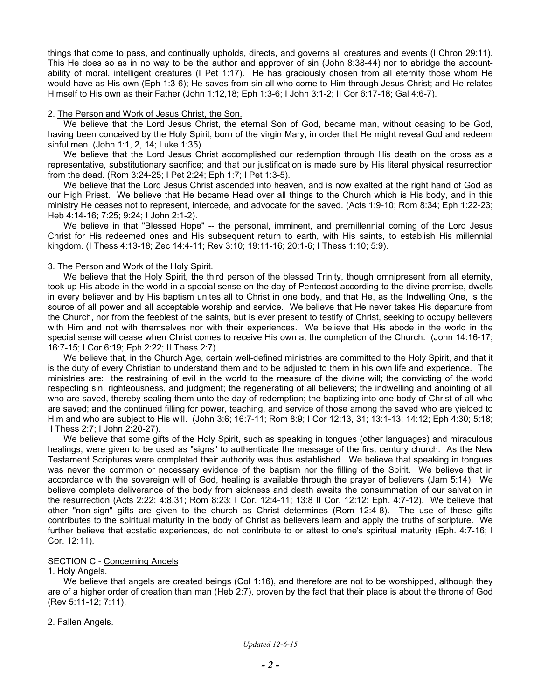things that come to pass, and continually upholds, directs, and governs all creatures and events (I Chron 29:11). This He does so as in no way to be the author and approver of sin (John 8:38-44) nor to abridge the accountability of moral, intelligent creatures (I Pet 1:17). He has graciously chosen from all eternity those whom He would have as His own (Eph 1:3-6); He saves from sin all who come to Him through Jesus Christ; and He relates Himself to His own as their Father (John 1:12,18; Eph 1:3-6; I John 3:1-2; II Cor 6:17-18; Gal 4:6-7).

### 2. The Person and Work of Jesus Christ, the Son.

We believe that the Lord Jesus Christ, the eternal Son of God, became man, without ceasing to be God, having been conceived by the Holy Spirit, born of the virgin Mary, in order that He might reveal God and redeem sinful men. (John 1:1, 2, 14; Luke 1:35).

We believe that the Lord Jesus Christ accomplished our redemption through His death on the cross as a representative, substitutionary sacrifice; and that our justification is made sure by His literal physical resurrection from the dead. (Rom 3:24-25; I Pet 2:24; Eph 1:7; I Pet 1:3-5).

We believe that the Lord Jesus Christ ascended into heaven, and is now exalted at the right hand of God as our High Priest. We believe that He became Head over all things to the Church which is His body, and in this ministry He ceases not to represent, intercede, and advocate for the saved. (Acts 1:9-10; Rom 8:34; Eph 1:22-23; Heb 4:14-16; 7:25; 9:24; I John 2:1-2).

We believe in that "Blessed Hope" -- the personal, imminent, and premillennial coming of the Lord Jesus Christ for His redeemed ones and His subsequent return to earth, with His saints, to establish His millennial kingdom. (I Thess 4:13-18; Zec 14:4-11; Rev 3:10; 19:11-16; 20:1-6; I Thess 1:10; 5:9).

### 3. The Person and Work of the Holy Spirit.

We believe that the Holy Spirit, the third person of the blessed Trinity, though omnipresent from all eternity, took up His abode in the world in a special sense on the day of Pentecost according to the divine promise, dwells in every believer and by His baptism unites all to Christ in one body, and that He, as the Indwelling One, is the source of all power and all acceptable worship and service. We believe that He never takes His departure from the Church, nor from the feeblest of the saints, but is ever present to testify of Christ, seeking to occupy believers with Him and not with themselves nor with their experiences. We believe that His abode in the world in the special sense will cease when Christ comes to receive His own at the completion of the Church. (John 14:16-17; 16:7-15; I Cor 6:19; Eph 2:22; II Thess 2:7).

We believe that, in the Church Age, certain well-defined ministries are committed to the Holy Spirit, and that it is the duty of every Christian to understand them and to be adjusted to them in his own life and experience. The ministries are: the restraining of evil in the world to the measure of the divine will; the convicting of the world respecting sin, righteousness, and judgment; the regenerating of all believers; the indwelling and anointing of all who are saved, thereby sealing them unto the day of redemption; the baptizing into one body of Christ of all who are saved; and the continued filling for power, teaching, and service of those among the saved who are yielded to Him and who are subject to His will. (John 3:6; 16:7-11; Rom 8:9; I Cor 12:13, 31; 13:1-13; 14:12; Eph 4:30; 5:18; II Thess 2:7; I John 2:20-27).

We believe that some gifts of the Holy Spirit, such as speaking in tongues (other languages) and miraculous healings, were given to be used as "signs" to authenticate the message of the first century church. As the New Testament Scriptures were completed their authority was thus established. We believe that speaking in tongues was never the common or necessary evidence of the baptism nor the filling of the Spirit. We believe that in accordance with the sovereign will of God, healing is available through the prayer of believers (Jam 5:14). We believe complete deliverance of the body from sickness and death awaits the consummation of our salvation in the resurrection (Acts 2:22; 4:8,31; Rom 8:23; I Cor. 12:4-11; 13:8 II Cor. 12:12; Eph. 4:7-12). We believe that other "non-sign" gifts are given to the church as Christ determines (Rom 12:4-8). The use of these gifts contributes to the spiritual maturity in the body of Christ as believers learn and apply the truths of scripture. We further believe that ecstatic experiences, do not contribute to or attest to one's spiritual maturity (Eph. 4:7-16; I Cor. 12:11).

### SECTION C - Concerning Angels

### 1. Holy Angels.

We believe that angels are created beings (Col 1:16), and therefore are not to be worshipped, although they are of a higher order of creation than man (Heb 2:7), proven by the fact that their place is about the throne of God (Rev 5:11-12; 7:11).

### 2. Fallen Angels.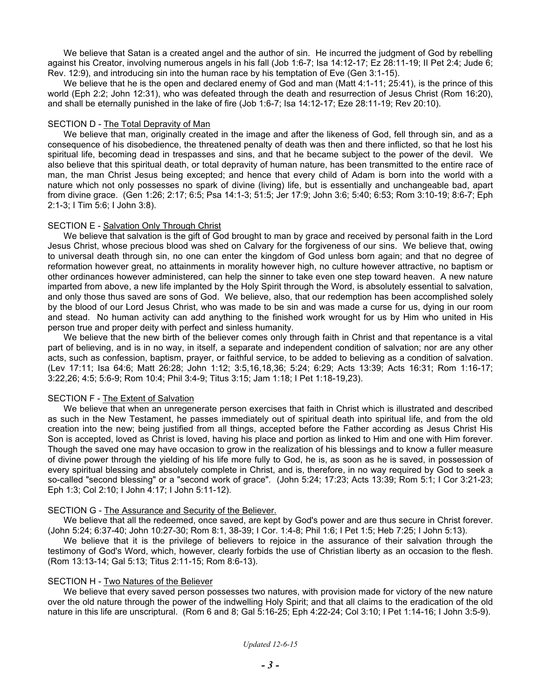We believe that Satan is a created angel and the author of sin. He incurred the judgment of God by rebelling against his Creator, involving numerous angels in his fall (Job 1:6-7; Isa 14:12-17; Ez 28:11-19; II Pet 2:4; Jude 6; Rev. 12:9), and introducing sin into the human race by his temptation of Eve (Gen 3:1-15).

We believe that he is the open and declared enemy of God and man (Matt 4:1-11; 25:41), is the prince of this world (Eph 2:2; John 12:31), who was defeated through the death and resurrection of Jesus Christ (Rom 16:20), and shall be eternally punished in the lake of fire (Job 1:6-7; Isa 14:12-17; Eze 28:11-19; Rev 20:10).

### SECTION D - The Total Depravity of Man

We believe that man, originally created in the image and after the likeness of God, fell through sin, and as a consequence of his disobedience, the threatened penalty of death was then and there inflicted, so that he lost his spiritual life, becoming dead in trespasses and sins, and that he became subject to the power of the devil. We also believe that this spiritual death, or total depravity of human nature, has been transmitted to the entire race of man, the man Christ Jesus being excepted; and hence that every child of Adam is born into the world with a nature which not only possesses no spark of divine (living) life, but is essentially and unchangeable bad, apart from divine grace. (Gen 1:26; 2:17; 6:5; Psa 14:1-3; 51:5; Jer 17:9; John 3:6; 5:40; 6:53; Rom 3:10-19; 8:6-7; Eph 2:1-3; I Tim 5:6; I John 3:8).

### SECTION E - Salvation Only Through Christ

We believe that salvation is the gift of God brought to man by grace and received by personal faith in the Lord Jesus Christ, whose precious blood was shed on Calvary for the forgiveness of our sins. We believe that, owing to universal death through sin, no one can enter the kingdom of God unless born again; and that no degree of reformation however great, no attainments in morality however high, no culture however attractive, no baptism or other ordinances however administered, can help the sinner to take even one step toward heaven. A new nature imparted from above, a new life implanted by the Holy Spirit through the Word, is absolutely essential to salvation, and only those thus saved are sons of God. We believe, also, that our redemption has been accomplished solely by the blood of our Lord Jesus Christ, who was made to be sin and was made a curse for us, dying in our room and stead. No human activity can add anything to the finished work wrought for us by Him who united in His person true and proper deity with perfect and sinless humanity.

We believe that the new birth of the believer comes only through faith in Christ and that repentance is a vital part of believing, and is in no way, in itself, a separate and independent condition of salvation; nor are any other acts, such as confession, baptism, prayer, or faithful service, to be added to believing as a condition of salvation. (Lev 17:11; Isa 64:6; Matt 26:28; John 1:12; 3:5,16,18,36; 5:24; 6:29; Acts 13:39; Acts 16:31; Rom 1:16-17; 3:22,26; 4:5; 5:6-9; Rom 10:4; Phil 3:4-9; Titus 3:15; Jam 1:18; I Pet 1:18-19,23).

### SECTION F - The Extent of Salvation

We believe that when an unregenerate person exercises that faith in Christ which is illustrated and described as such in the New Testament, he passes immediately out of spiritual death into spiritual life, and from the old creation into the new; being justified from all things, accepted before the Father according as Jesus Christ His Son is accepted, loved as Christ is loved, having his place and portion as linked to Him and one with Him forever. Though the saved one may have occasion to grow in the realization of his blessings and to know a fuller measure of divine power through the yielding of his life more fully to God, he is, as soon as he is saved, in possession of every spiritual blessing and absolutely complete in Christ, and is, therefore, in no way required by God to seek a so-called "second blessing" or a "second work of grace". (John 5:24; 17:23; Acts 13:39; Rom 5:1; I Cor 3:21-23; Eph 1:3; Col 2:10; I John 4:17; I John 5:11-12).

### SECTION G - The Assurance and Security of the Believer.

We believe that all the redeemed, once saved, are kept by God's power and are thus secure in Christ forever. (John 5:24; 6:37-40; John 10:27-30; Rom 8:1, 38-39; I Cor. 1:4-8; Phil 1:6; I Pet 1:5; Heb 7:25; I John 5:13).

We believe that it is the privilege of believers to rejoice in the assurance of their salvation through the testimony of God's Word, which, however, clearly forbids the use of Christian liberty as an occasion to the flesh. (Rom 13:13-14; Gal 5:13; Titus 2:11-15; Rom 8:6-13).

#### SECTION H - Two Natures of the Believer

We believe that every saved person possesses two natures, with provision made for victory of the new nature over the old nature through the power of the indwelling Holy Spirit; and that all claims to the eradication of the old nature in this life are unscriptural. (Rom 6 and 8; Gal 5:16-25; Eph 4:22-24; Col 3:10; I Pet 1:14-16; I John 3:5-9).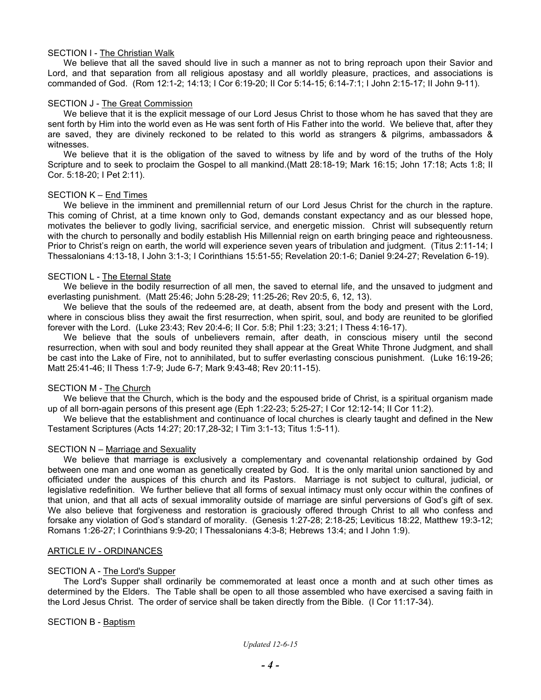### SECTION I - The Christian Walk

We believe that all the saved should live in such a manner as not to bring reproach upon their Savior and Lord, and that separation from all religious apostasy and all worldly pleasure, practices, and associations is commanded of God. (Rom 12:1-2; 14:13; I Cor 6:19-20; II Cor 5:14-15; 6:14-7:1; I John 2:15-17; II John 9-11).

### SECTION J - The Great Commission

We believe that it is the explicit message of our Lord Jesus Christ to those whom he has saved that they are sent forth by Him into the world even as He was sent forth of His Father into the world. We believe that, after they are saved, they are divinely reckoned to be related to this world as strangers & pilgrims, ambassadors & witnesses.

We believe that it is the obligation of the saved to witness by life and by word of the truths of the Holy Scripture and to seek to proclaim the Gospel to all mankind.(Matt 28:18-19; Mark 16:15; John 17:18; Acts 1:8; II Cor. 5:18-20; I Pet 2:11).

### SECTION K – End Times

We believe in the imminent and premillennial return of our Lord Jesus Christ for the church in the rapture. This coming of Christ, at a time known only to God, demands constant expectancy and as our blessed hope, motivates the believer to godly living, sacrificial service, and energetic mission. Christ will subsequently return with the church to personally and bodily establish His Millennial reign on earth bringing peace and righteousness. Prior to Christ's reign on earth, the world will experience seven years of tribulation and judgment. (Titus 2:11-14; I Thessalonians 4:13-18, I John 3:1-3; I Corinthians 15:51-55; Revelation 20:1-6; Daniel 9:24-27; Revelation 6-19).

### SECTION L - The Eternal State

We believe in the bodily resurrection of all men, the saved to eternal life, and the unsaved to judgment and everlasting punishment. (Matt 25:46; John 5:28-29; 11:25-26; Rev 20:5, 6, 12, 13).

We believe that the souls of the redeemed are, at death, absent from the body and present with the Lord, where in conscious bliss they await the first resurrection, when spirit, soul, and body are reunited to be glorified forever with the Lord. (Luke 23:43; Rev 20:4-6; II Cor. 5:8; Phil 1:23; 3:21; I Thess 4:16-17).

We believe that the souls of unbelievers remain, after death, in conscious misery until the second resurrection, when with soul and body reunited they shall appear at the Great White Throne Judgment, and shall be cast into the Lake of Fire, not to annihilated, but to suffer everlasting conscious punishment. (Luke 16:19-26; Matt 25:41-46; II Thess 1:7-9; Jude 6-7; Mark 9:43-48; Rev 20:11-15).

### SECTION M - The Church

We believe that the Church, which is the body and the espoused bride of Christ, is a spiritual organism made up of all born-again persons of this present age (Eph 1:22-23; 5:25-27; I Cor 12:12-14; II Cor 11:2).

We believe that the establishment and continuance of local churches is clearly taught and defined in the New Testament Scriptures (Acts 14:27; 20:17,28-32; I Tim 3:1-13; Titus 1:5-11).

#### SECTION N – Marriage and Sexuality

We believe that marriage is exclusively a complementary and covenantal relationship ordained by God between one man and one woman as genetically created by God. It is the only marital union sanctioned by and officiated under the auspices of this church and its Pastors. Marriage is not subject to cultural, judicial, or legislative redefinition. We further believe that all forms of sexual intimacy must only occur within the confines of that union, and that all acts of sexual immorality outside of marriage are sinful perversions of God's gift of sex. We also believe that forgiveness and restoration is graciously offered through Christ to all who confess and forsake any violation of God's standard of morality. (Genesis 1:27-28; 2:18-25; Leviticus 18:22, Matthew 19:3-12; Romans 1:26-27; I Corinthians 9:9-20; I Thessalonians 4:3-8; Hebrews 13:4; and I John 1:9).

### ARTICLE IV - ORDINANCES

### SECTION A - The Lord's Supper

The Lord's Supper shall ordinarily be commemorated at least once a month and at such other times as determined by the Elders. The Table shall be open to all those assembled who have exercised a saving faith in the Lord Jesus Christ. The order of service shall be taken directly from the Bible. (I Cor 11:17-34).

### SECTION B - Baptism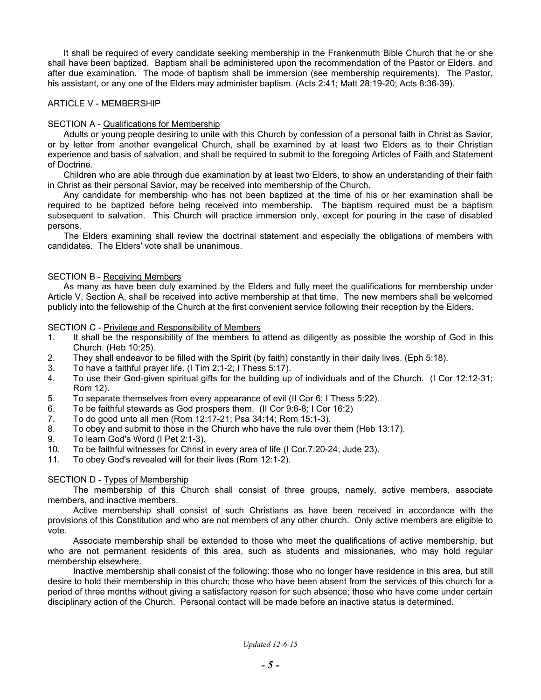It shall be required of every candidate seeking membership in the Frankenmuth Bible Church that he or she shall have been baptized. Baptism shall be administered upon the recommendation of the Pastor or Elders, and after due examination. The mode of baptism shall be immersion (see membership requirements). The Pastor, his assistant, or any one of the Elders may administer baptism. (Acts 2:41; Matt 28:19-20; Acts 8:36-39).

### ARTICLE V - MEMBERSHIP

# SECTION A - Qualifications for Membership

Adults or young people desiring to unite with this Church by confession of a personal faith in Christ as Savior, or by letter from another evangelical Church, shall be examined by at least two Elders as to their Christian experience and basis of salvation, and shall be required to submit to the foregoing Articles of Faith and Statement of Doctrine.

Children who are able through due examination by at least two Elders, to show an understanding of their faith in Christ as their personal Savior, may be received into membership of the Church.

Any candidate for membership who has not been baptized at the time of his or her examination shall be required to be baptized before being received into membership. The baptism required must be a baptism subsequent to salvation. This Church will practice immersion only, except for pouring in the case of disabled persons.

The Elders examining shall review the doctrinal statement and especially the obligations of members with candidates. The Elders' vote shall be unanimous.

# SECTION B - Receiving Members

As many as have been duly examined by the Elders and fully meet the qualifications for membership under Article V, Section A, shall be received into active membership at that time. The new members shall be welcomed publicly into the fellowship of the Church at the first convenient service following their reception by the Elders.

### SECTION C - Privilege and Responsibility of Members

- 1. It shall be the responsibility of the members to attend as diligently as possible the worship of God in this Church. (Heb 10:25).
- 2. They shall endeavor to be filled with the Spirit (by faith) constantly in their daily lives. (Eph 5:18).
- 3. To have a faithful prayer life. (I Tim 2:1-2; I Thess 5:17).
- 4. To use their God-given spiritual gifts for the building up of individuals and of the Church. (I Cor 12:12-31; Rom 12).
- 5. To separate themselves from every appearance of evil (II Cor 6; I Thess 5:22).
- 6. To be faithful stewards as God prospers them. (II Cor 9:6-8; I Cor 16:2)
- 7. To do good unto all men (Rom 12:17-21; Psa 34:14; Rom 15:1-3).
- 8. To obey and submit to those in the Church who have the rule over them (Heb 13:17).
- 9. To learn God's Word (I Pet 2:1-3).
- 10. To be faithful witnesses for Christ in every area of life (I Cor.7:20-24; Jude 23).
- 11. To obey God's revealed will for their lives (Rom 12:1-2).

### SECTION D - Types of Membership

The membership of this Church shall consist of three groups, namely, active members, associate members, and inactive members.

Active membership shall consist of such Christians as have been received in accordance with the provisions of this Constitution and who are not members of any other church. Only active members are eligible to vote.

Associate membership shall be extended to those who meet the qualifications of active membership, but who are not permanent residents of this area, such as students and missionaries, who may hold regular membership elsewhere.

Inactive membership shall consist of the following: those who no longer have residence in this area, but still desire to hold their membership in this church; those who have been absent from the services of this church for a period of three months without giving a satisfactory reason for such absence; those who have come under certain disciplinary action of the Church. Personal contact will be made before an inactive status is determined.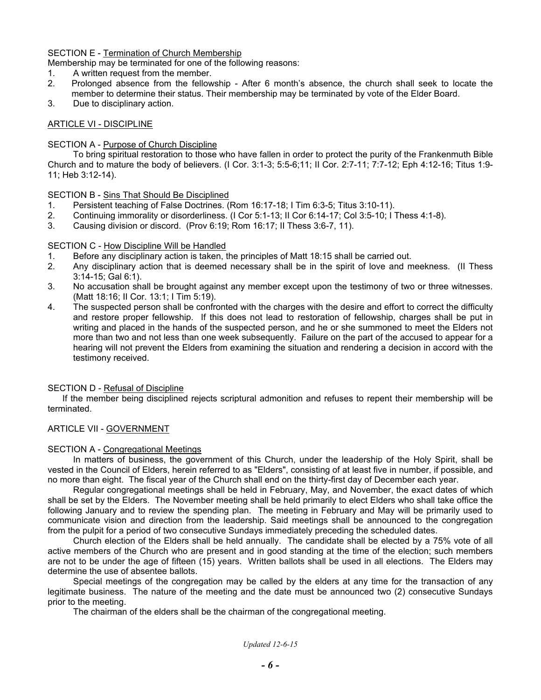# SECTION E - Termination of Church Membership

Membership may be terminated for one of the following reasons:

- 1. A written request from the member.
- 2. Prolonged absence from the fellowship After 6 month's absence, the church shall seek to locate the member to determine their status. Their membership may be terminated by vote of the Elder Board.
- 3. Due to disciplinary action.

# ARTICLE VI - DISCIPLINE

### SECTION A - Purpose of Church Discipline

To bring spiritual restoration to those who have fallen in order to protect the purity of the Frankenmuth Bible Church and to mature the body of believers. (I Cor. 3:1-3; 5:5-6;11; II Cor. 2:7-11; 7:7-12; Eph 4:12-16; Titus 1:9- 11; Heb 3:12-14).

SECTION B - Sins That Should Be Disciplined

- 1. Persistent teaching of False Doctrines. (Rom 16:17-18; I Tim 6:3-5; Titus 3:10-11).
- 2. Continuing immorality or disorderliness. (I Cor 5:1-13; II Cor 6:14-17; Col 3:5-10; I Thess 4:1-8).
- 3. Causing division or discord. (Prov 6:19; Rom 16:17; II Thess 3:6-7, 11).

# SECTION C - How Discipline Will be Handled

- 1. Before any disciplinary action is taken, the principles of Matt 18:15 shall be carried out.
- 2. Any disciplinary action that is deemed necessary shall be in the spirit of love and meekness. (II Thess 3:14-15; Gal 6:1).
- 3. No accusation shall be brought against any member except upon the testimony of two or three witnesses. (Matt 18:16; II Cor. 13:1; I Tim 5:19).
- 4. The suspected person shall be confronted with the charges with the desire and effort to correct the difficulty and restore proper fellowship. If this does not lead to restoration of fellowship, charges shall be put in writing and placed in the hands of the suspected person, and he or she summoned to meet the Elders not more than two and not less than one week subsequently. Failure on the part of the accused to appear for a hearing will not prevent the Elders from examining the situation and rendering a decision in accord with the testimony received.

# SECTION D - Refusal of Discipline

 If the member being disciplined rejects scriptural admonition and refuses to repent their membership will be terminated.

# ARTICLE VII - GOVERNMENT

### SECTION A - Congregational Meetings

In matters of business, the government of this Church, under the leadership of the Holy Spirit, shall be vested in the Council of Elders, herein referred to as "Elders", consisting of at least five in number, if possible, and no more than eight. The fiscal year of the Church shall end on the thirty-first day of December each year.

Regular congregational meetings shall be held in February, May, and November, the exact dates of which shall be set by the Elders. The November meeting shall be held primarily to elect Elders who shall take office the following January and to review the spending plan. The meeting in February and May will be primarily used to communicate vision and direction from the leadership. Said meetings shall be announced to the congregation from the pulpit for a period of two consecutive Sundays immediately preceding the scheduled dates.

Church election of the Elders shall be held annually. The candidate shall be elected by a 75% vote of all active members of the Church who are present and in good standing at the time of the election; such members are not to be under the age of fifteen (15) years. Written ballots shall be used in all elections. The Elders may determine the use of absentee ballots.

Special meetings of the congregation may be called by the elders at any time for the transaction of any legitimate business. The nature of the meeting and the date must be announced two (2) consecutive Sundays prior to the meeting.

The chairman of the elders shall be the chairman of the congregational meeting.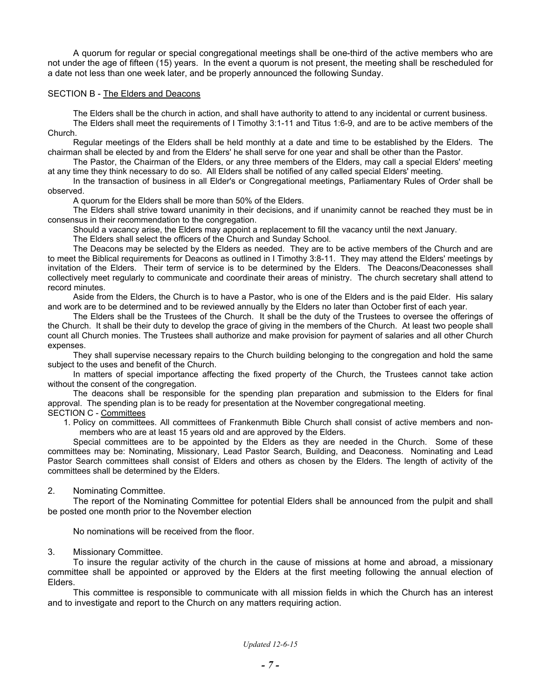A quorum for regular or special congregational meetings shall be one-third of the active members who are not under the age of fifteen (15) years. In the event a quorum is not present, the meeting shall be rescheduled for a date not less than one week later, and be properly announced the following Sunday.

### SECTION B - The Elders and Deacons

The Elders shall be the church in action, and shall have authority to attend to any incidental or current business. The Elders shall meet the requirements of I Timothy 3:1-11 and Titus 1:6-9, and are to be active members of the Church.

Regular meetings of the Elders shall be held monthly at a date and time to be established by the Elders. The chairman shall be elected by and from the Elders' he shall serve for one year and shall be other than the Pastor.

The Pastor, the Chairman of the Elders, or any three members of the Elders, may call a special Elders' meeting at any time they think necessary to do so. All Elders shall be notified of any called special Elders' meeting.

In the transaction of business in all Elder's or Congregational meetings, Parliamentary Rules of Order shall be observed.

A quorum for the Elders shall be more than 50% of the Elders.

The Elders shall strive toward unanimity in their decisions, and if unanimity cannot be reached they must be in consensus in their recommendation to the congregation.

Should a vacancy arise, the Elders may appoint a replacement to fill the vacancy until the next January.

The Elders shall select the officers of the Church and Sunday School.

The Deacons may be selected by the Elders as needed. They are to be active members of the Church and are to meet the Biblical requirements for Deacons as outlined in I Timothy 3:8-11. They may attend the Elders' meetings by invitation of the Elders. Their term of service is to be determined by the Elders. The Deacons/Deaconesses shall collectively meet regularly to communicate and coordinate their areas of ministry. The church secretary shall attend to record minutes.

Aside from the Elders, the Church is to have a Pastor, who is one of the Elders and is the paid Elder. His salary and work are to be determined and to be reviewed annually by the Elders no later than October first of each year.

The Elders shall be the Trustees of the Church. It shall be the duty of the Trustees to oversee the offerings of the Church. It shall be their duty to develop the grace of giving in the members of the Church. At least two people shall count all Church monies. The Trustees shall authorize and make provision for payment of salaries and all other Church expenses.

They shall supervise necessary repairs to the Church building belonging to the congregation and hold the same subject to the uses and benefit of the Church.

In matters of special importance affecting the fixed property of the Church, the Trustees cannot take action without the consent of the congregation.

The deacons shall be responsible for the spending plan preparation and submission to the Elders for final approval. The spending plan is to be ready for presentation at the November congregational meeting.

SECTION C - Committees

1. Policy on committees. All committees of Frankenmuth Bible Church shall consist of active members and nonmembers who are at least 15 years old and are approved by the Elders.

Special committees are to be appointed by the Elders as they are needed in the Church. Some of these committees may be: Nominating, Missionary, Lead Pastor Search, Building, and Deaconess. Nominating and Lead Pastor Search committees shall consist of Elders and others as chosen by the Elders. The length of activity of the committees shall be determined by the Elders.

2. Nominating Committee.

The report of the Nominating Committee for potential Elders shall be announced from the pulpit and shall be posted one month prior to the November election

No nominations will be received from the floor.

### 3. Missionary Committee.

To insure the regular activity of the church in the cause of missions at home and abroad, a missionary committee shall be appointed or approved by the Elders at the first meeting following the annual election of Elders.

This committee is responsible to communicate with all mission fields in which the Church has an interest and to investigate and report to the Church on any matters requiring action.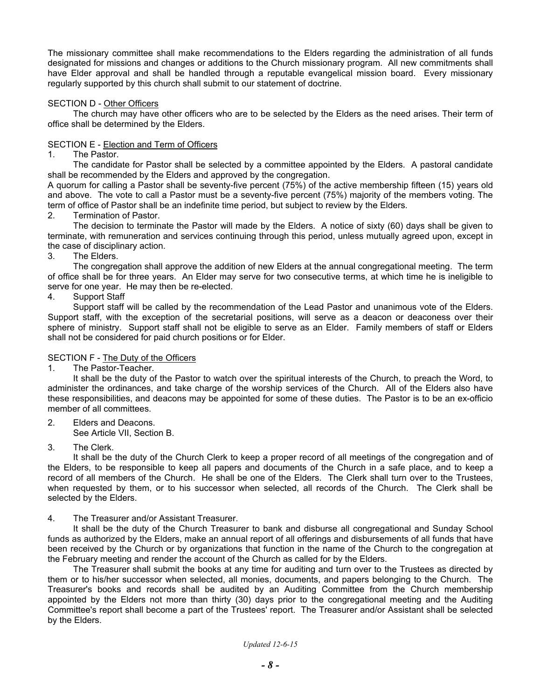The missionary committee shall make recommendations to the Elders regarding the administration of all funds designated for missions and changes or additions to the Church missionary program. All new commitments shall have Elder approval and shall be handled through a reputable evangelical mission board. Every missionary regularly supported by this church shall submit to our statement of doctrine.

# SECTION D - Other Officers

The church may have other officers who are to be selected by the Elders as the need arises. Their term of office shall be determined by the Elders.

# SECTION E - Election and Term of Officers

1. The Pastor.

The candidate for Pastor shall be selected by a committee appointed by the Elders. A pastoral candidate shall be recommended by the Elders and approved by the congregation.

A quorum for calling a Pastor shall be seventy-five percent (75%) of the active membership fifteen (15) years old and above. The vote to call a Pastor must be a seventy-five percent (75%) majority of the members voting. The term of office of Pastor shall be an indefinite time period, but subject to review by the Elders.

2. Termination of Pastor.

The decision to terminate the Pastor will made by the Elders. A notice of sixty (60) days shall be given to terminate, with remuneration and services continuing through this period, unless mutually agreed upon, except in the case of disciplinary action.

3. The Elders.

The congregation shall approve the addition of new Elders at the annual congregational meeting. The term of office shall be for three years. An Elder may serve for two consecutive terms, at which time he is ineligible to serve for one year. He may then be re-elected.

4. Support Staff

Support staff will be called by the recommendation of the Lead Pastor and unanimous vote of the Elders. Support staff, with the exception of the secretarial positions, will serve as a deacon or deaconess over their sphere of ministry. Support staff shall not be eligible to serve as an Elder. Family members of staff or Elders shall not be considered for paid church positions or for Elder.

## SECTION F - The Duty of the Officers

1. The Pastor-Teacher.

It shall be the duty of the Pastor to watch over the spiritual interests of the Church, to preach the Word, to administer the ordinances, and take charge of the worship services of the Church. All of the Elders also have these responsibilities, and deacons may be appointed for some of these duties. The Pastor is to be an ex-officio member of all committees.

2. Elders and Deacons.

See Article VII, Section B.

3. The Clerk.

It shall be the duty of the Church Clerk to keep a proper record of all meetings of the congregation and of the Elders, to be responsible to keep all papers and documents of the Church in a safe place, and to keep a record of all members of the Church. He shall be one of the Elders. The Clerk shall turn over to the Trustees, when requested by them, or to his successor when selected, all records of the Church. The Clerk shall be selected by the Elders.

### 4. The Treasurer and/or Assistant Treasurer.

It shall be the duty of the Church Treasurer to bank and disburse all congregational and Sunday School funds as authorized by the Elders, make an annual report of all offerings and disbursements of all funds that have been received by the Church or by organizations that function in the name of the Church to the congregation at the February meeting and render the account of the Church as called for by the Elders.

The Treasurer shall submit the books at any time for auditing and turn over to the Trustees as directed by them or to his/her successor when selected, all monies, documents, and papers belonging to the Church. The Treasurer's books and records shall be audited by an Auditing Committee from the Church membership appointed by the Elders not more than thirty (30) days prior to the congregational meeting and the Auditing Committee's report shall become a part of the Trustees' report. The Treasurer and/or Assistant shall be selected by the Elders.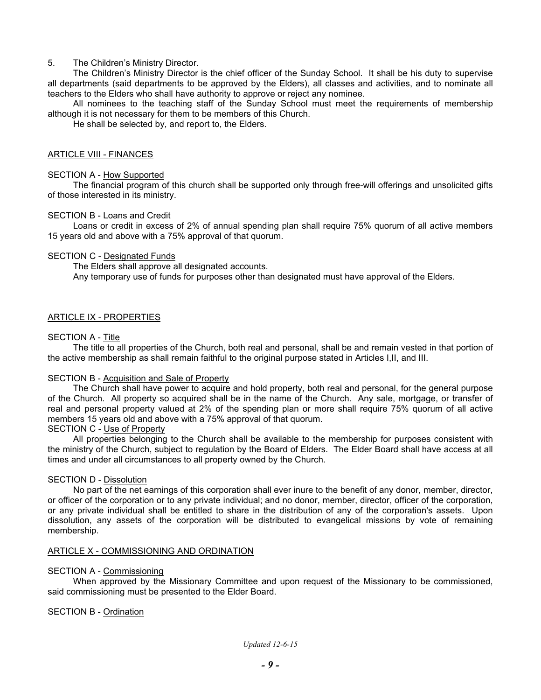# 5. The Children's Ministry Director.

The Children's Ministry Director is the chief officer of the Sunday School. It shall be his duty to supervise all departments (said departments to be approved by the Elders), all classes and activities, and to nominate all teachers to the Elders who shall have authority to approve or reject any nominee.

All nominees to the teaching staff of the Sunday School must meet the requirements of membership although it is not necessary for them to be members of this Church.

He shall be selected by, and report to, the Elders.

### ARTICLE VIII - FINANCES

### SECTION A - How Supported

The financial program of this church shall be supported only through free-will offerings and unsolicited gifts of those interested in its ministry.

### SECTION B - Loans and Credit

Loans or credit in excess of 2% of annual spending plan shall require 75% quorum of all active members 15 years old and above with a 75% approval of that quorum.

# SECTION C - Designated Funds

The Elders shall approve all designated accounts. Any temporary use of funds for purposes other than designated must have approval of the Elders.

# ARTICLE IX - PROPERTIES

# SECTION A - Title

The title to all properties of the Church, both real and personal, shall be and remain vested in that portion of the active membership as shall remain faithful to the original purpose stated in Articles I,II, and III.

### SECTION B - Acquisition and Sale of Property

The Church shall have power to acquire and hold property, both real and personal, for the general purpose of the Church. All property so acquired shall be in the name of the Church. Any sale, mortgage, or transfer of real and personal property valued at 2% of the spending plan or more shall require 75% quorum of all active members 15 years old and above with a 75% approval of that quorum.

### SECTION C - Use of Property

All properties belonging to the Church shall be available to the membership for purposes consistent with the ministry of the Church, subject to regulation by the Board of Elders. The Elder Board shall have access at all times and under all circumstances to all property owned by the Church.

### SECTION D - Dissolution

No part of the net earnings of this corporation shall ever inure to the benefit of any donor, member, director, or officer of the corporation or to any private individual; and no donor, member, director, officer of the corporation, or any private individual shall be entitled to share in the distribution of any of the corporation's assets. Upon dissolution, any assets of the corporation will be distributed to evangelical missions by vote of remaining membership.

# ARTICLE X - COMMISSIONING AND ORDINATION

### SECTION A - Commissioning

When approved by the Missionary Committee and upon request of the Missionary to be commissioned, said commissioning must be presented to the Elder Board.

# SECTION B - Ordination